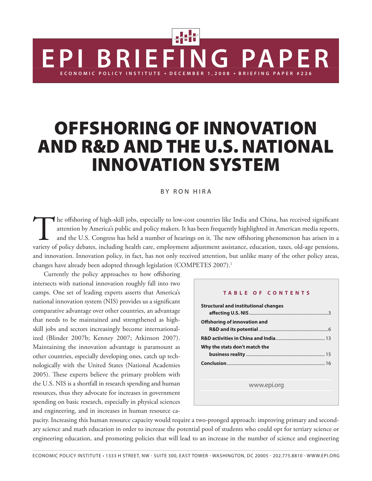# **OFFSHORING OF INNOVATION AND R&D AND THE U.S. NATIONAL INNOVATION SYSTEM**

**BRIEFING PAPE** 

#### BY RON HIRA

The offshoring of high-skill jobs, especially to low-cost countries like India and China, has received significant attention by America's public and policy makers. It has been frequently highlighted in American media reports, and the U.S. Congress has held a number of hearings on it. The new offshoring phenomenon has arisen in a variety of policy debates, including health care, employment adjustment assistance, education, taxes, old-age pensions, and innovation. Innovation policy, in fact, has not only received attention, but unlike many of the other policy areas, changes have already been adopted through legislation (COMPETES 2007).<sup>1</sup>

Currently the policy approaches to how offshoring intersects with national innovation roughly fall into two camps. One set of leading experts asserts that America's national innovation system (NIS) provides us a significant comparative advantage over other countries, an advantage that needs to be maintained and strengthened as highskill jobs and sectors increasingly become internationalized (Blinder 2007b; Kenney 2007; Atkinson 2007). Maintaining the innovation advantage is paramount as other countries, especially developing ones, catch up technologically with the United States (National Academies 2005). These experts believe the primary problem with the U.S. NIS is a shortfall in research spending and human resources, thus they advocate for increases in government spending on basic research, especially in physical sciences and engineering, and in increases in human resource ca-

#### **TABLE OF CONTENTS**

**ENG PAPER** 

| <b>Structural and institutional changes</b> |  |
|---------------------------------------------|--|
| <b>Offshoring of innovation and</b>         |  |
| Why the stats don't match the               |  |
|                                             |  |
|                                             |  |
|                                             |  |
| www.epi.org                                 |  |

pacity. Increasing this human resource capacity would require a two-pronged approach: improving primary and secondary science and math education in order to increase the potential pool of students who could opt for tertiary science or engineering education, and promoting policies that will lead to an increase in the number of science and engineering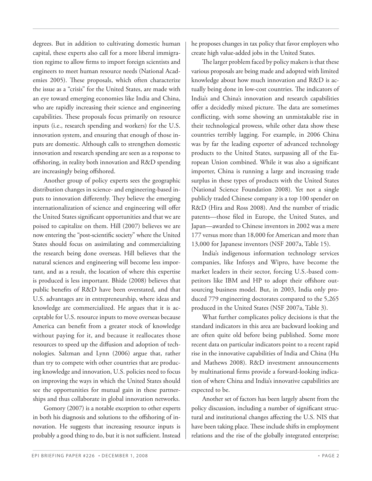degrees. But in addition to cultivating domestic human capital, these experts also call for a more liberal immigration regime to allow firms to import foreign scientists and engineers to meet human resource needs (National Academies 2005). These proposals, which often characterize the issue as a "crisis" for the United States, are made with an eye toward emerging economies like India and China, who are rapidly increasing their science and engineering capabilities. These proposals focus primarily on resource inputs (i.e., research spending and workers) for the U.S. innovation system, and ensuring that enough of those inputs are domestic. Although calls to strengthen domestic innovation and research spending are seen as a response to offshoring, in reality both innovation and R&D spending are increasingly being offshored.

 Another group of policy experts sees the geographic distribution changes in science- and engineering-based inputs to innovation differently. They believe the emerging internationalization of science and engineering will offer the United States significant opportunities and that we are poised to capitalize on them. Hill (2007) believes we are now entering the "post-scientific society" where the United States should focus on assimilating and commercializing the research being done overseas. Hill believes that the natural sciences and engineering will become less important, and as a result, the location of where this expertise is produced is less important. Bhide (2008) believes that public benefits of R&D have been overstated, and that U.S. advantages are in entrepreneurship, where ideas and knowledge are commercialized. He argues that it is acceptable for U.S. resource inputs to move overseas because America can benefit from a greater stock of knowledge without paying for it, and because it reallocates those resources to speed up the diffusion and adoption of technologies. Salzman and Lynn (2006) argue that, rather than try to compete with other countries that are producing knowledge and innovation, U.S. policies need to focus on improving the ways in which the United States should see the opportunities for mutual gain in these partnerships and thus collaborate in global innovation networks.

 Gomory (2007) is a notable exception to other experts in both his diagnosis and solutions to the offshoring of innovation. He suggests that increasing resource inputs is probably a good thing to do, but it is not sufficient. Instead he proposes changes in tax policy that favor employers who create high value-added jobs in the United States.

The larger problem faced by policy makers is that these various proposals are being made and adopted with limited knowledge about how much innovation and R&D is actually being done in low-cost countries. The indicators of India's and China's innovation and research capabilities offer a decidedly mixed picture. The data are sometimes conflicting, with some showing an unmistakable rise in their technological prowess, while other data show these countries terribly lagging. For example, in 2006 China was by far the leading exporter of advanced technology products to the United States, surpassing all of the European Union combined. While it was also a significant importer, China is running a large and increasing trade surplus in these types of products with the United States (National Science Foundation 2008). Yet not a single publicly traded Chinese company is a top 100 spender on R&D (Hira and Ross 2008). And the number of triadic patents—those filed in Europe, the United States, and Japan—awarded to Chinese inventors in 2002 was a mere 177 versus more than 18,000 for American and more than 13,000 for Japanese inventors (NSF 2007a, Table 15).

 India's indigenous information technology services companies, like Infosys and Wipro, have become the market leaders in their sector, forcing U.S.-based competitors like IBM and HP to adopt their offshore outsourcing business model. But, in 2003, India only produced 779 engineering doctorates compared to the 5,265 produced in the United States (NSF 2007a, Table 3).

 What further complicates policy decisions is that the standard indicators in this area are backward looking and are often quite old before being published. Some more recent data on particular indicators point to a recent rapid rise in the innovative capabilities of India and China (Hu and Mathews 2008). R&D investment announcements by multinational firms provide a forward-looking indication of where China and India's innovative capabilities are expected to be.

 Another set of factors has been largely absent from the policy discussion, including a number of significant structural and institutional changes affecting the U.S. NIS that have been taking place. These include shifts in employment relations and the rise of the globally integrated enterprise;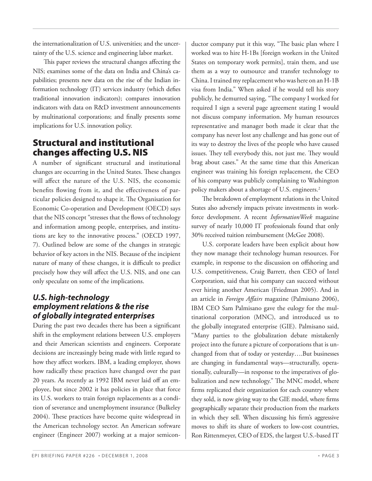the internationalization of U.S. universities; and the uncertainty of the U.S. science and engineering labor market.

This paper reviews the structural changes affecting the NIS; examines some of the data on India and China's capabilities; presents new data on the rise of the Indian information technology (IT) services industry (which defies traditional innovation indicators); compares innovation indicators with data on R&D investment announcements by multinational corporations; and finally presents some implications for U.S. innovation policy.

## **Structural and institutional changes affecting U.S. NIS**

A number of significant structural and institutional changes are occurring in the United States. These changes will affect the nature of the U.S. NIS, the economic benefits flowing from it, and the effectiveness of particular policies designed to shape it. The Organisation for Economic Co-operation and Development (OECD) says that the NIS concept "stresses that the flows of technology and information among people, enterprises, and institutions are key to the innovative process." (OECD 1997, 7). Outlined below are some of the changes in strategic behavior of key actors in the NIS. Because of the incipient nature of many of these changes, it is difficult to predict precisely how they will affect the U.S. NIS, and one can only speculate on some of the implications.

## *U.S. high-technology employment relations & the rise of globally integrated enterprises*

During the past two decades there has been a significant shift in the employment relations between U.S. employers and their American scientists and engineers. Corporate decisions are increasingly being made with little regard to how they affect workers. IBM, a leading employer, shows how radically these practices have changed over the past 20 years. As recently as 1992 IBM never laid off an employee, but since 2002 it has policies in place that force its U.S. workers to train foreign replacements as a condition of severance and unemployment insurance (Bulkeley 2004). These practices have become quite widespread in the American technology sector. An American software engineer (Engineer 2007) working at a major semiconductor company put it this way, "The basic plan where I worked was to hire H-1Bs [foreign workers in the United States on temporary work permits], train them, and use them as a way to outsource and transfer technology to China. I trained my replacement who was here on an H-1B visa from India." When asked if he would tell his story publicly, he demurred saying, "The company I worked for required I sign a several page agreement stating I would not discuss company information. My human resources representative and manager both made it clear that the company has never lost any challenge and has gone out of its way to destroy the lives of the people who have caused issues. They tell everybody this, not just me. They would brag about cases." At the same time that this American engineer was training his foreign replacement, the CEO of his company was publicly complaining to Washington policy makers about a shortage of U.S. engineers.<sup>2</sup>

The breakdown of employment relations in the United States also adversely impacts private investments in workforce development. A recent *InformationWeek* magazine survey of nearly 10,000 IT professionals found that only 30% received tuition reimbursement (McGee 2008).

 U.S. corporate leaders have been explicit about how they now manage their technology human resources. For example, in response to the discussion on offshoring and U.S. competitiveness, Craig Barrett, then CEO of Intel Corporation, said that his company can succeed without ever hiring another American (Friedman 2005). And in an article in *Foreign Affairs* magazine (Palmisano 2006), IBM CEO Sam Palmisano gave the eulogy for the multinational corporation (MNC), and introduced us to the globally integrated enterprise (GIE). Palmisano said, "Many parties to the globalization debate mistakenly project into the future a picture of corporations that is unchanged from that of today or yesterday….But businesses are changing in fundamental ways—structurally, operationally, culturally—in response to the imperatives of globalization and new technology." The MNC model, where firms replicated their organization for each country where they sold, is now giving way to the GIE model, where firms geographically separate their production from the markets in which they sell. When discussing his firm's aggressive moves to shift its share of workers to low-cost countries, Ron Rittenmeyer, CEO of EDS, the largest U.S.-based IT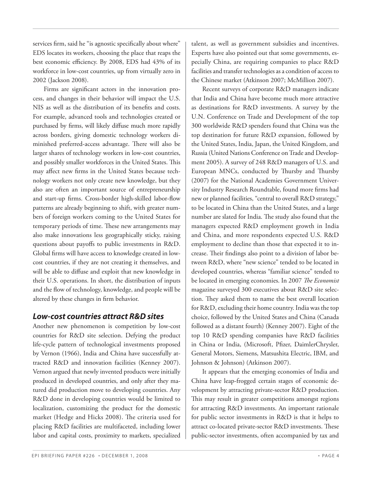services firm, said he "is agnostic specifically about where" EDS locates its workers, choosing the place that reaps the best economic efficiency. By 2008, EDS had 43% of its workforce in low-cost countries, up from virtually zero in 2002 (Jackson 2008).

Firms are significant actors in the innovation process, and changes in their behavior will impact the U.S. NIS as well as the distribution of its benefits and costs. For example, advanced tools and technologies created or purchased by firms, will likely diffuse much more rapidly across borders, giving domestic technology workers diminished preferred-access advantage. There will also be larger shares of technology workers in low-cost countries, and possibly smaller workforces in the United States. This may affect new firms in the United States because technology workers not only create new knowledge, but they also are often an important source of entrepreneurship and start-up firms. Cross-border high-skilled labor-flow patterns are already beginning to shift, with greater numbers of foreign workers coming to the United States for temporary periods of time. These new arrangements may also make innovations less geographically sticky, raising questions about payoffs to public investments in R&D. Global firms will have access to knowledge created in lowcost countries, if they are not creating it themselves, and will be able to diffuse and exploit that new knowledge in their U.S. operations. In short, the distribution of inputs and the flow of technology, knowledge, and people will be altered by these changes in firm behavior.

### *Low-cost countries attract R&D sites*

Another new phenomenon is competition by low-cost countries for R&D site selection. Defying the product life-cycle pattern of technological investments proposed by Vernon (1966), India and China have successfully attracted R&D and innovation facilities (Kenney 2007). Vernon argued that newly invented products were initially produced in developed countries, and only after they matured did production move to developing countries. Any R&D done in developing countries would be limited to localization, customizing the product for the domestic market (Hedge and Hicks 2008). The criteria used for placing R&D facilities are multifaceted, including lower labor and capital costs, proximity to markets, specialized

talent, as well as government subsidies and incentives. Experts have also pointed out that some governments, especially China, are requiring companies to place R&D facilities and transfer technologies as a condition of access to the Chinese market (Atkinson 2007; McMillion 2007).

 Recent surveys of corporate R&D managers indicate that India and China have become much more attractive as destinations for R&D investments. A survey by the U.N. Conference on Trade and Development of the top 300 worldwide R&D spenders found that China was the top destination for future R&D expansion, followed by the United States, India, Japan, the United Kingdom, and Russia (United Nations Conference on Trade and Development 2005). A survey of 248 R&D managers of U.S. and European MNCs, conducted by Thursby and Thursby (2007) for the National Academies Government University Industry Research Roundtable, found more firms had new or planned facilities, "central to overall R&D strategy," to be located in China than the United States, and a large number are slated for India. The study also found that the managers expected R&D employment growth in India and China, and more respondents expected U.S. R&D employment to decline than those that expected it to increase. Their findings also point to a division of labor between R&D, where "new science" tended to be located in developed countries, whereas "familiar science" tended to be located in emerging economies. In 2007 *The Economist* magazine surveyed 300 executives about R&D site selection. They asked them to name the best overall location for R&D, excluding their home country. India was the top choice, followed by the United States and China (Canada followed as a distant fourth) (Kenney 2007). Eight of the top 10 R&D spending companies have R&D facilities in China or India, (Microsoft, Pfizer, DaimlerChrysler, General Motors, Siemens, Matsushita Electric, IBM, and Johnson & Johnson) (Atkinson 2007).

 It appears that the emerging economies of India and China have leap-frogged certain stages of economic development by attracting private-sector R&D production. This may result in greater competitions amongst regions for attracting R&D investments. An important rationale for public sector investments in R&D is that it helps to attract co-located private-sector R&D investments. These public-sector investments, often accompanied by tax and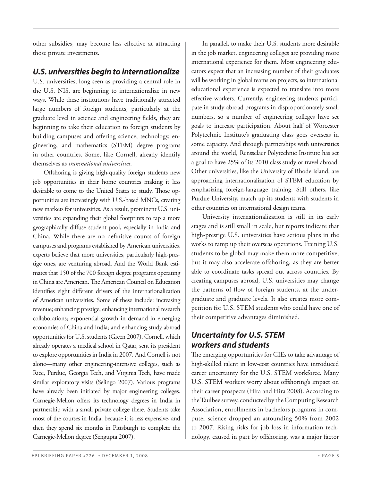other subsidies, may become less effective at attracting those private investments.

## *U.S. universities begin to internationalize*

U.S. universities, long seen as providing a central role in the U.S. NIS, are beginning to internationalize in new ways. While these institutions have traditionally attracted large numbers of foreign students, particularly at the graduate level in science and engineering fields, they are beginning to take their education to foreign students by building campuses and offering science, technology, engineering, and mathematics (STEM) degree programs in other countries. Some, like Cornell, already identify themselves as *transnational universities*.

Offshoring is giving high-quality foreign students new job opportunities in their home countries making it less desirable to come to the United States to study. Those opportunities are increasingly with U.S.-based MNCs, creating new markets for universities. As a result, prominent U.S. universities are expanding their global footprints to tap a more geographically diffuse student pool, especially in India and China. While there are no definitive counts of foreign campuses and programs established by American universities, experts believe that more universities, particularly high-prestige ones, are venturing abroad. And the World Bank estimates that 150 of the 700 foreign degree programs operating in China are American. The American Council on Education identifies eight different drivers of the internationalization of American universities. Some of these include: increasing revenue; enhancing prestige; enhancing international research collaborations; exponential growth in demand in emerging economies of China and India; and enhancing study abroad opportunities for U.S. students (Green 2007). Cornell, which already operates a medical school in Qatar, sent its president to explore opportunities in India in 2007. And Cornell is not alone—many other engineering-intensive colleges, such as Rice, Purdue, Georgia Tech, and Virginia Tech, have made similar exploratory visits (Selingo 2007). Various programs have already been initiated by major engineering colleges. Carnegie-Mellon offers its technology degrees in India in partnership with a small private college there. Students take most of the courses in India, because it is less expensive, and then they spend six months in Pittsburgh to complete the Carnegie-Mellon degree (Sengupta 2007).

 In parallel, to make their U.S. students more desirable in the job market, engineering colleges are providing more international experience for them. Most engineering educators expect that an increasing number of their graduates will be working in global teams on projects, so international educational experience is expected to translate into more effective workers. Currently, engineering students participate in study-abroad programs in disproportionately small numbers, so a number of engineering colleges have set goals to increase participation. About half of Worcester Polytechnic Institute's graduating class goes overseas in some capacity. And through partnerships with universities around the world, Rensselaer Polytechnic Institute has set a goal to have 25% of its 2010 class study or travel abroad. Other universities, like the University of Rhode Island, are approaching internationalization of STEM education by emphasizing foreign-language training. Still others, like Purdue University, match up its students with students in other countries on international design teams.

 University internationalization is still in its early stages and is still small in scale, but reports indicate that high-prestige U.S. universities have serious plans in the works to ramp up their overseas operations. Training U.S. students to be global may make them more competitive, but it may also accelerate offshoring, as they are better able to coordinate tasks spread out across countries. By creating campuses abroad, U.S. universities may change the patterns of flow of foreign students, at the undergraduate and graduate levels. It also creates more competition for U.S. STEM students who could have one of their competitive advantages diminished.

## *Uncertainty for U.S. STEM workers and students*

The emerging opportunities for GIEs to take advantage of high-skilled talent in low-cost countries have introduced career uncertainty for the U.S. STEM workforce. Many U.S. STEM workers worry about offshoring's impact on their career prospects (Hira and Hira 2008). According to the Taulbee survey, conducted by the Computing Research Association, enrollments in bachelors programs in computer science dropped an astounding 50% from 2002 to 2007. Rising risks for job loss in information technology, caused in part by offshoring, was a major factor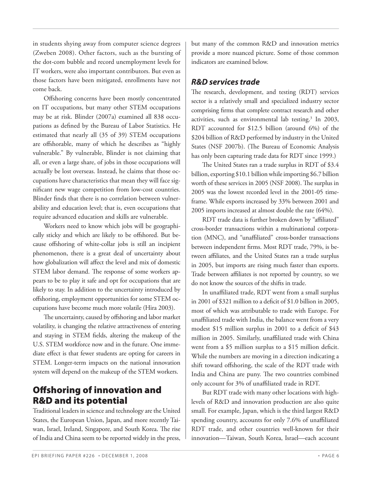in students shying away from computer science degrees (Zweben 2008). Other factors, such as the bursting of the dot-com bubble and record unemployment levels for IT workers, were also important contributors. But even as those factors have been mitigated, enrollments have not come back.

Offshoring concerns have been mostly concentrated on IT occupations, but many other STEM occupations may be at risk. Blinder (2007a) examined all 838 occupations as defined by the Bureau of Labor Statistics. He estimated that nearly all (35 of 39) STEM occupations are offshorable, many of which he describes as "highly vulnerable." By vulnerable, Blinder is not claiming that all, or even a large share, of jobs in those occupations will actually be lost overseas. Instead, he claims that those occupations have characteristics that mean they will face significant new wage competition from low-cost countries. Blinder finds that there is no correlation between vulnerability and education level; that is, even occupations that require advanced education and skills are vulnerable.

 Workers need to know which jobs will be geographically sticky and which are likely to be offshored. But because offshoring of white-collar jobs is still an incipient phenomenon, there is a great deal of uncertainty about how globalization will affect the level and mix of domestic STEM labor demand. The response of some workers appears to be to play it safe and opt for occupations that are likely to stay. In addition to the uncertainty introduced by offshoring, employment opportunities for some STEM occupations have become much more volatile (Hira 2003).

The uncertainty, caused by offshoring and labor market volatility, is changing the relative attractiveness of entering and staying in STEM fields, altering the makeup of the U.S. STEM workforce now and in the future. One immediate effect is that fewer students are opting for careers in STEM. Longer-term impacts on the national innovation system will depend on the makeup of the STEM workers.

## **Off shoring of innovation and R&D and its potential**

Traditional leaders in science and technology are the United States, the European Union, Japan, and more recently Taiwan, Israel, Ireland, Singapore, and South Korea. The rise of India and China seem to be reported widely in the press, but many of the common R&D and innovation metrics provide a more nuanced picture. Some of those common indicators are examined below.

## *R&D services trade*

The research, development, and testing (RDT) services sector is a relatively small and specialized industry sector comprising firms that complete contract research and other activities, such as environmental lab testing.<sup>3</sup> In 2003, RDT accounted for \$12.5 billion (around 6%) of the \$204 billion of R&D performed by industry in the United States (NSF 2007b). (The Bureau of Economic Analysis has only been capturing trade data for RDT since 1999.)

The United States ran a trade surplus in RDT of \$3.4 billion, exporting \$10.1 billion while importing \$6.7 billion worth of these services in 2005 (NSF 2008). The surplus in 2005 was the lowest recorded level in the 2001-05 timeframe. While exports increased by 33% between 2001 and 2005 imports increased at almost double the rate (64%).

RDT trade data is further broken down by "affiliated" cross-border transactions within a multinational corporation (MNC), and "unaffiliated" cross-border transactions between independent firms. Most RDT trade, 79%, is between affiliates, and the United States ran a trade surplus in 2005, but imports are rising much faster than exports. Trade between affiliates is not reported by country, so we do not know the sources of the shifts in trade.

In unaffiliated trade, RDT went from a small surplus in 2001 of \$321 million to a deficit of \$1.0 billion in 2005, most of which was attributable to trade with Europe. For unaffiliated trade with India, the balance went from a very modest \$15 million surplus in 2001 to a deficit of  $$43$ million in 2005. Similarly, unaffiliated trade with China went from a  $$5$  million surplus to a  $$15$  million deficit. While the numbers are moving in a direction indicating a shift toward offshoring, the scale of the RDT trade with India and China are puny. The two countries combined only account for 3% of unaffiliated trade in RDT.

 But RDT trade with many other locations with highlevels of R&D and innovation production are also quite small. For example, Japan, which is the third largest R&D spending country, accounts for only 7.6% of unaffiliated RDT trade, and other countries well-known for their innovation—Taiwan, South Korea, Israel—each account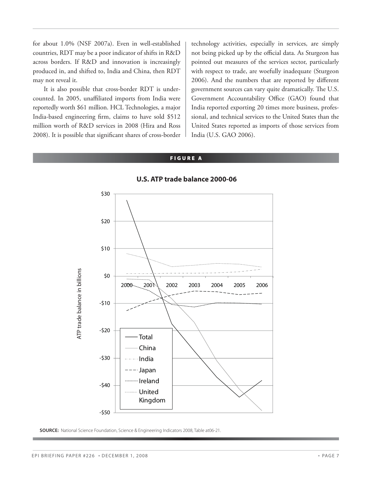for about 1.0% (NSF 2007a). Even in well-established countries, RDT may be a poor indicator of shifts in R&D across borders. If R&D and innovation is increasingly produced in, and shifted to, India and China, then RDT may not reveal it.

 It is also possible that cross-border RDT is undercounted. In 2005, unaffiliated imports from India were reportedly worth \$61 million. HCL Technologies, a major India-based engineering firm, claims to have sold \$512 million worth of R&D services in 2008 (Hira and Ross 2008). It is possible that significant shares of cross-border

technology activities, especially in services, are simply not being picked up by the official data. As Sturgeon has pointed out measures of the services sector, particularly with respect to trade, are woefully inadequate (Sturgeon 2006). And the numbers that are reported by different government sources can vary quite dramatically. The U.S. Government Accountability Office (GAO) found that India reported exporting 20 times more business, professional, and technical services to the United States than the United States reported as imports of those services from India (U.S. GAO 2006).

#### **FIGURE A**



#### **U.S. ATP trade balance 2000-06**

**SOURCE:** National Science Foundation, Science & Engineering Indicators 2008, Table at06-21.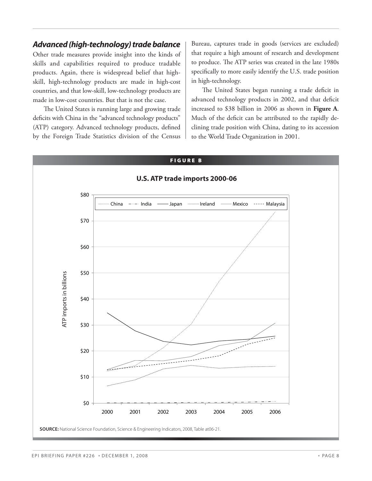### *Advanced (high-technology) trade balance*

Other trade measures provide insight into the kinds of skills and capabilities required to produce tradable products. Again, there is widespread belief that highskill, high-technology products are made in high-cost countries, and that low-skill, low-technology products are made in low-cost countries. But that is not the case.

The United States is running large and growing trade deficits with China in the "advanced technology products" (ATP) category. Advanced technology products, defined by the Foreign Trade Statistics division of the Census

Bureau, captures trade in goods (services are excluded) that require a high amount of research and development to produce. The ATP series was created in the late 1980s specifically to more easily identify the U.S. trade position in high-technology.

The United States began running a trade deficit in advanced technology products in 2002, and that deficit increased to \$38 billion in 2006 as shown in **Figure A**. Much of the deficit can be attributed to the rapidly declining trade position with China, dating to its accession to the World Trade Organization in 2001.

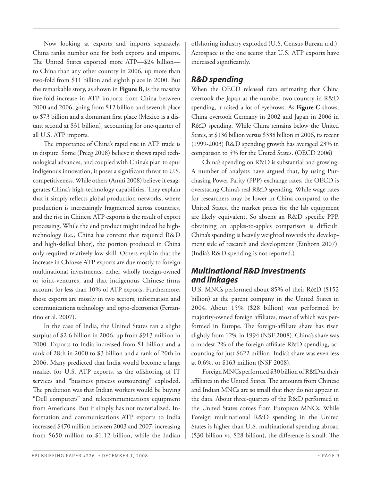Now looking at exports and imports separately, China ranks number one for both exports and imports. The United States exported more ATP—\$24 billion to China than any other country in 2006, up more than two-fold from \$11 billion and eighth place in 2000. But the remarkable story, as shown in **Figure B**, is the massive five-fold increase in ATP imports from China between 2000 and 2006, going from \$12 billion and seventh place to \$73 billion and a dominant first place (Mexico is a distant second at \$31 billion), accounting for one-quarter of all U.S. ATP imports.

The importance of China's rapid rise in ATP trade is in dispute. Some (Preeg 2008) believe it shows rapid technological advances, and coupled with China's plan to spur indigenous innovation, it poses a significant threat to U.S. competitiveness. While others (Amiti 2008) believe it exaggerates China's high-technology capabilities. They explain that it simply reflects global production networks, where production is increasingly fragmented across countries, and the rise in Chinese ATP exports is the result of export processing. While the end product might indeed be hightechnology (i.e., China has content that required R&D and high-skilled labor), the portion produced in China only required relatively low-skill. Others explain that the increase in Chinese ATP exports are due mostly to foreign multinational investments, either wholly foreign-owned or joint-ventures, and that indigenous Chinese firms account for less than 10% of ATP exports. Furthermore, those exports are mostly in two sectors, information and communications technology and opto-electronics (Ferrantino et al. 2007).

 In the case of India, the United States ran a slight surplus of \$2.6 billion in 2006, up from \$913 million in 2000. Exports to India increased from \$1 billion and a rank of 28th in 2000 to \$3 billion and a rank of 20th in 2006. Many predicted that India would become a large market for U.S. ATP exports, as the offshoring of IT services and "business process outsourcing" exploded. The prediction was that Indian workers would be buying "Dell computers" and telecommunications equipment from Americans. But it simply has not materialized. Information and communications ATP exports to India increased \$470 million between 2003 and 2007, increasing from \$650 million to \$1.12 billion, while the Indian

offshoring industry exploded (U.S. Census Bureau n.d.). Aerospace is the one sector that U.S. ATP exports have increased significantly.

## *R&D spending*

When the OECD released data estimating that China overtook the Japan as the number two country in R&D spending, it raised a lot of eyebrows. As **Figure C** shows, China overtook Germany in 2002 and Japan in 2006 in R&D spending. While China remains below the United States, at \$136 billion versus \$338 billion in 2006, its recent (1999-2003) R&D spending growth has averaged 23% in comparison to 5% for the United States. (OECD 2006)

 China's spending on R&D is substantial and growing. A number of analysts have argued that, by using Purchasing Power Parity (PPP) exchange rates, the OECD is overstating China's real R&D spending. While wage rates for researchers may be lower in China compared to the United States, the market prices for the lab equipment are likely equivalent. So absent an R&D specific PPP, obtaining an apples-to-apples comparison is difficult. China's spending is heavily weighted towards the development side of research and development (Einhorn 2007). (India's R&D spending is not reported.)

## *Multinational R&D investments and linkages*

U.S. MNCs performed about 85% of their R&D (\$152 billion) at the parent company in the United States in 2004. About 15% (\$28 billion) was performed by majority-owned foreign affiliates, most of which was performed in Europe. The foreign-affiliate share has risen slightly from 12% in 1994 (NSF 2008). China's share was a modest  $2\%$  of the foreign affiliate R&D spending, accounting for just \$622 million. India's share was even less at 0.6%, or \$163 million (NSF 2008).

 Foreign MNCs performed \$30 billion of R&D at their affiliates in the United States. The amounts from Chinese and Indian MNCs are so small that they do not appear in the data. About three-quarters of the R&D performed in the United States comes from European MNCs. While Foreign multinational R&D spending in the United States is higher than U.S. multinational spending abroad  $(\$30$  billion vs.  $\$28$  billion), the difference is small. The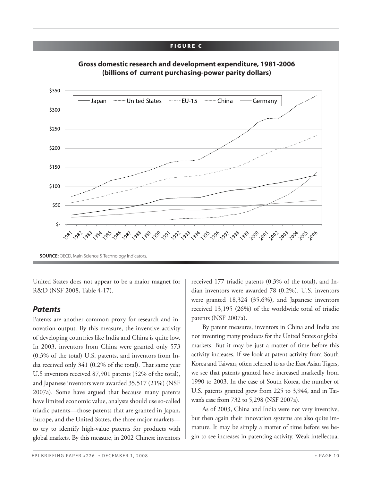

United States does not appear to be a major magnet for R&D (NSF 2008, Table 4-17).

### *Patents*

Patents are another common proxy for research and innovation output. By this measure, the inventive activity of developing countries like India and China is quite low. In 2003, inventors from China were granted only 573 (0.3% of the total) U.S. patents, and inventors from India received only  $341$  (0.2% of the total). That same year U.S inventors received 87,901 patents (52% of the total), and Japanese inventors were awarded 35,517 (21%) (NSF 2007a). Some have argued that because many patents have limited economic value, analysts should use so-called triadic patents—those patents that are granted in Japan, Europe, and the United States, the three major markets to try to identify high-value patents for products with global markets. By this measure, in 2002 Chinese inventors received 177 triadic patents (0.3% of the total), and Indian inventors were awarded 78 (0.2%). U.S. inventors were granted 18,324 (35.6%), and Japanese inventors received 13,195 (26%) of the worldwide total of triadic patents (NSF 2007a).

 By patent measures, inventors in China and India are not inventing many products for the United States or global markets. But it may be just a matter of time before this activity increases. If we look at patent activity from South Korea and Taiwan, often referred to as the East Asian Tigers, we see that patents granted have increased markedly from 1990 to 2003. In the case of South Korea, the number of U.S. patents granted grew from 225 to 3,944, and in Taiwan's case from 732 to 5,298 (NSF 2007a).

 As of 2003, China and India were not very inventive, but then again their innovation systems are also quite immature. It may be simply a matter of time before we begin to see increases in patenting activity. Weak intellectual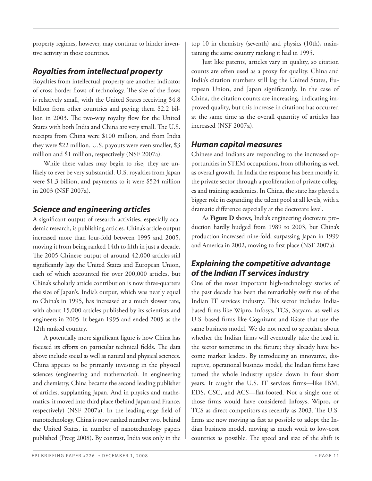property regimes, however, may continue to hinder inventive activity in those countries.

## *Royalties from intellectual property*

Royalties from intellectual property are another indicator of cross border flows of technology. The size of the flows is relatively small, with the United States receiving \$4.8 billion from other countries and paying them \$2.2 billion in 2003. The two-way royalty flow for the United States with both India and China are very small. The U.S. receipts from China were \$100 million, and from India they were \$22 million. U.S. payouts were even smaller, \$3 million and \$1 million, respectively (NSF 2007a).

 While these values may begin to rise, they are unlikely to ever be very substantial. U.S. royalties from Japan were \$1.3 billion, and payments to it were \$524 million in 2003 (NSF 2007a).

## *Science and engineering articles*

A significant output of research activities, especially academic research, is publishing articles. China's article output increased more than four-fold between 1995 and 2005, moving it from being ranked 14th to fifth in just a decade. The 2005 Chinese output of around 42,000 articles still significantly lags the United States and European Union, each of which accounted for over 200,000 articles, but China's scholarly article contribution is now three-quarters the size of Japan's. India's output, which was nearly equal to China's in 1995, has increased at a much slower rate, with about 15,000 articles published by its scientists and engineers in 2005. It began 1995 and ended 2005 as the 12th ranked country.

A potentially more significant figure is how China has focused its efforts on particular technical fields. The data above include social as well as natural and physical sciences. China appears to be primarily investing in the physical sciences (engineering and mathematics). In engineering and chemistry, China became the second leading publisher of articles, supplanting Japan. And in physics and mathematics, it moved into third place (behind Japan and France, respectively) (NSF 2007a). In the leading-edge field of nanotechnology, China is now ranked number two, behind the United States, in number of nanotechnology papers published (Preeg 2008). By contrast, India was only in the

top 10 in chemistry (seventh) and physics (10th), maintaining the same country ranking it had in 1995.

 Just like patents, articles vary in quality, so citation counts are often used as a proxy for quality. China and India's citation numbers still lag the United States, European Union, and Japan significantly. In the case of China, the citation counts are increasing, indicating improved quality, but this increase in citations has occurred at the same time as the overall quantity of articles has increased (NSF 2007a).

## *Human capital measures*

Chinese and Indians are responding to the increased opportunities in STEM occupations, from offshoring as well as overall growth. In India the response has been mostly in the private sector through a proliferation of private colleges and training academies. In China, the state has played a bigger role in expanding the talent pool at all levels, with a dramatic difference especially at the doctorate level.

 As **Figure D** shows, India's engineering doctorate production hardly budged from 1989 to 2003, but China's production increased nine-fold, surpassing Japan in 1999 and America in 2002, moving to first place (NSF 2007a).

## *Explaining the competitive advantage of the Indian IT services industry*

One of the most important high-technology stories of the past decade has been the remarkably swift rise of the Indian IT services industry. This sector includes Indiabased firms like Wipro, Infosys, TCS, Satyam, as well as U.S.-based firms like Cognizant and iGate that use the same business model. We do not need to speculate about whether the Indian firms will eventually take the lead in the sector sometime in the future; they already have become market leaders. By introducing an innovative, disruptive, operational business model, the Indian firms have turned the whole industry upside down in four short years. It caught the U.S. IT services firms—like IBM, EDS, CSC, and ACS—flat-footed. Not a single one of those firms would have considered Infosys, Wipro, or TCS as direct competitors as recently as 2003. The U.S. firms are now moving as fast as possible to adopt the Indian business model, moving as much work to low-cost countries as possible. The speed and size of the shift is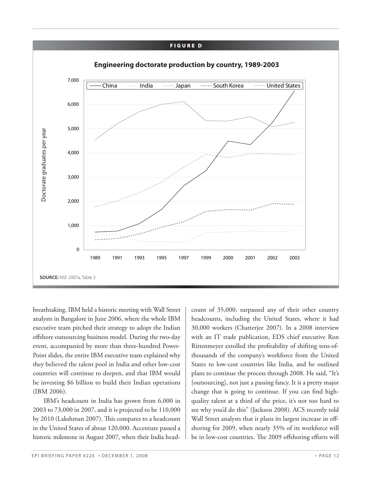#### **FIGURE D**



breathtaking. IBM held a historic meeting with Wall Street analysts in Bangalore in June 2006, where the whole IBM executive team pitched their strategy to adopt the Indian offshore outsourcing business model. During the two-day event, accompanied by more than three-hundred Power-Point slides, the entire IBM executive team explained why they believed the talent pool in India and other low-cost countries will continue to deepen, and that IBM would be investing \$6 billion to build their Indian operations (IBM 2006).

 IBM's headcount in India has grown from 6,000 in 2003 to 73,000 in 2007, and it is projected to be 110,000 by 2010 (Lakshman 2007). This compares to a headcount in the United States of about 120,000. Accenture passed a historic milestone in August 2007, when their India headcount of 35,000, surpassed any of their other country headcounts, including the United States, where it had 30,000 workers (Chatterjee 2007). In a 2008 interview with an IT trade publication, EDS chief executive Ron Rittenmeyer extolled the profitability of shifting tens-ofthousands of the company's workforce from the United States to low-cost countries like India, and he outlined plans to continue the process through 2008. He said, "It's [outsourcing], not just a passing fancy. It is a pretty major change that is going to continue. If you can find highquality talent at a third of the price, it's not too hard to see why you'd do this" (Jackson 2008). ACS recently told Wall Street analysts that it plans its largest increase in offshoring for 2009, when nearly 35% of its workforce will be in low-cost countries. The 2009 offshoring efforts will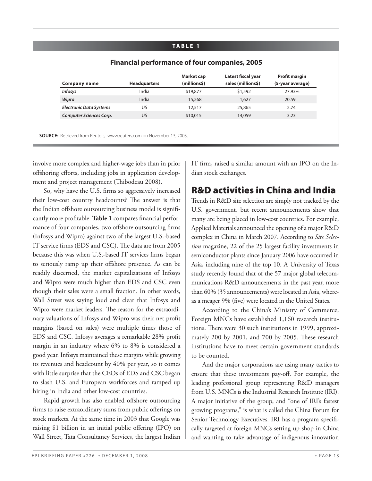#### **TABLE 1**

|                                | <b>Headquarters</b> | (millions\$) | sales (millions\$) | (5-year average) |
|--------------------------------|---------------------|--------------|--------------------|------------------|
| <b>Infosys</b>                 | India               | \$19,877     | \$1,592            | 27.93%           |
| Wipro                          | India               | 15,268       | 1,627              | 20.59            |
| <b>Electronic Data Systems</b> | US                  | 12,517       | 25,865             | 2.74             |
| <b>Computer Sciences Corp.</b> | <b>US</b>           | \$10,015     | 14,059             | 3.23             |

involve more complex and higher-wage jobs than in prior offshoring efforts, including jobs in application development and project management (Thibodeau 2008).

So, why have the U.S. firms so aggressively increased their low-cost country headcounts? The answer is that the Indian offshore outsourcing business model is significantly more profitable. Table 1 compares financial performance of four companies, two offshore outsourcing firms (Infosys and Wipro) against two of the largest U.S.-based IT service firms (EDS and CSC). The data are from 2005 because this was when U.S.-based IT services firms began to seriously ramp up their offshore presence. As can be readily discerned, the market capitalizations of Infosys and Wipro were much higher than EDS and CSC even though their sales were a small fraction. In other words, Wall Street was saying loud and clear that Infosys and Wipro were market leaders. The reason for the extraordinary valuations of Infosys and Wipro was their net profit margins (based on sales) were multiple times those of EDS and CSC. Infosys averages a remarkable 28% profit margin in an industry where 6% to 8% is considered a good year. Infosys maintained these margins while growing its revenues and headcount by 40% per year, so it comes with little surprise that the CEOs of EDS and CSC began to slash U.S. and European workforces and ramped up hiring in India and other low-cost countries.

Rapid growth has also enabled offshore outsourcing firms to raise extraordinary sums from public offerings on stock markets. At the same time in 2003 that Google was raising \$1 billion in an initial public offering (IPO) on Wall Street, Tata Consultancy Services, the largest Indian IT firm, raised a similar amount with an IPO on the Indian stock exchanges.

## **R&D activities in China and India**

Trends in R&D site selection are simply not tracked by the U.S. government, but recent announcements show that many are being placed in low-cost countries. For example, Applied Materials announced the opening of a major R&D complex in China in March 2007. According to *Site Selection* magazine, 22 of the 25 largest facility investments in semiconductor plants since January 2006 have occurred in Asia, including nine of the top 10. A University of Texas study recently found that of the 57 major global telecommunications R&D announcements in the past year, more than 60% (35 announcements) were located in Asia, whereas a meager 9% (five) were located in the United States.

 According to the China's Ministry of Commerce, Foreign MNCs have established 1,160 research institutions. There were 30 such institutions in 1999, approximately 200 by 2001, and 700 by 2005. These research institutions have to meet certain government standards to be counted.

 And the major corporations are using many tactics to ensure that these investments pay-off. For example, the leading professional group representing R&D managers from U.S. MNCs is the Industrial Research Institute (IRI). A major initiative of the group, and "one of IRI's fastest growing programs," is what is called the China Forum for Senior Technology Executives. IRI has a program specifically targeted at foreign MNCs setting up shop in China and wanting to take advantage of indigenous innovation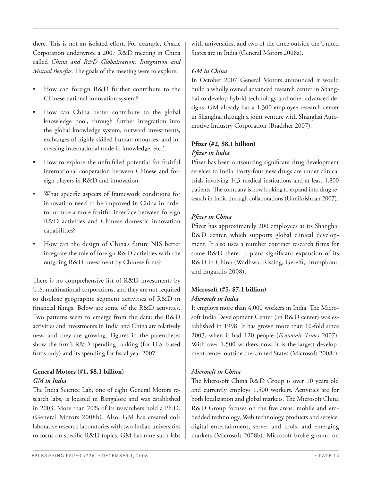there. This is not an isolated effort. For example, Oracle Corporation underwrote a 2007 R&D meeting in China called *China and R&D Globalisation: Integration and Mutual Benefits*. The goals of the meeting were to explore:

- How can foreign R&D further contribute to the Chinese national innovation system?
- How can China better contribute to the global knowledge pool, through further integration into the global knowledge system, outward investments, exchanges of highly skilled human resources, and increasing international trade in knowledge, etc.?
- How to explore the unfulfilled potential for fruitful international cooperation between Chinese and foreign players in R&D and innovation.
- What specific aspects of framework conditions for innovation need to be improved in China in order to nurture a more fruitful interface between foreign R&D activities and Chinese domestic innovation capabilities?
- How can the design of China's future NIS better integrate the role of foreign R&D activities with the outgoing R&D investment by Chinese firms?

There is no comprehensive list of R&D investments by U.S. multinational corporations, and they are not required to disclose geographic segment activities of R&D in financial filings. Below are some of the R&D activities. Two patterns seem to emerge from the data: the R&D activities and investments in India and China are relatively new, and they are growing. Figures in the parentheses show the firm's R&D spending ranking (for U.S.-based firms only) and its spending for fiscal year 2007.

#### **General Motors (#1, \$8.1 billion)** *GM in India*

The India Science Lab, one of eight General Motors research labs, is located in Bangalore and was established in 2003. More than 70% of its researchers hold a Ph.D. (General Motors 2008b). Also, GM has created collaborative research laboratories with two Indian universities to focus on specific R&D topics. GM has nine such labs with universities, and two of the three outside the United States are in India (General Motors 2008a).

#### *GM in China*

In October 2007 General Motors announced it would build a wholly owned advanced research center in Shanghai to develop hybrid technology and other advanced designs. GM already has a 1,300-employee research center in Shanghai through a joint venture with Shanghai Automotive Industry Corporation (Bradsher 2007).

## **Pfi zer (#2, \$8.1 billion)** *Pfi zer in India*

Pfizer has been outsourcing significant drug development services to India. Forty-four new drugs are under clinical trials involving 143 medical institutions and at least 1,800 patients. The company is now looking to expand into drug research in India through collaborations (Unnikrishnan 2007).

#### *Pfizer in China*

Pfizer has approximately 200 employees at its Shanghai R&D center, which supports global clinical development. It also uses a number contract research firms for some R&D there. It plans significant expansion of its R&D in China (Wadhwa, Rissing, Gereffi, Trumpbour, and Engardio 2008).

## **Microsoft (#5, \$7.1 billion)** *Microsoft in India*

It employs more than 4,000 workers in India. The Microsoft India Development Center (an R&D center) was established in 1998. It has grown more than 10-fold since 2003, when it had 120 people (*Economic Times* 2007). With over 1,500 workers now, it is the largest development center outside the United States (Microsoft 2008c).

#### *Microsoft in China*

The Microsoft China R&D Group is over 10 years old and currently employs 1,500 workers. Activities are for both localization and global markets. The Microsoft China R&D Group focuses on the five areas: mobile and embedded technology, Web technology products and service, digital entertainment, server and tools, and emerging markets (Microsoft 2008b). Microsoft broke ground on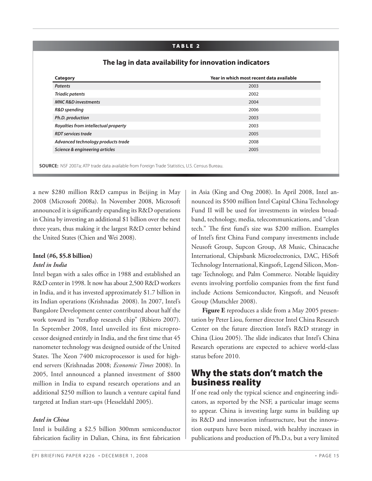#### **TABLE 2**

| <b>Patents</b>                       | 2003 |
|--------------------------------------|------|
| <b>Triadic patents</b>               | 2002 |
| <b>MNC R&amp;D investments</b>       | 2004 |
| R&D spending                         | 2006 |
| Ph.D. production                     | 2003 |
| Royalties from intellectual property | 2003 |
| <b>RDT</b> services trade            | 2005 |
| Advanced technology products trade   | 2008 |
| Science & engineering articles       | 2005 |

#### **The lag in data availability for innovation indicators**

a new \$280 million R&D campus in Beijing in May 2008 (Microsoft 2008a). In November 2008, Microsoft announced it is significantly expanding its R&D operations in China by investing an additional \$1 billion over the next three years, thus making it the largest R&D center behind the United States (Chien and Wei 2008).

## **Intel (#6, \$5.8 billion)** *Intel in India*

Intel began with a sales office in 1988 and established an R&D center in 1998. It now has about 2,500 R&D workers in India, and it has invested approximately \$1.7 billion in its Indian operations (Krishnadas 2008). In 2007, Intel's Bangalore Development center contributed about half the work toward its "teraflop research chip" (Ribiero 2007). In September 2008, Intel unveiled its first microprocessor designed entirely in India, and the first time that 45 nanometer technology was designed outside of the United States. The Xeon 7400 microprocessor is used for highend servers (Krishnadas 2008; *Economic Times* 2008). In 2005, Intel announced a planned investment of \$800 million in India to expand research operations and an additional \$250 million to launch a venture capital fund targeted at Indian start-ups (Hesseldahl 2005).

#### *Intel in China*

Intel is building a \$2.5 billion 300mm semiconductor fabrication facility in Dalian, China, its first fabrication in Asia (King and Ong 2008). In April 2008, Intel announced its \$500 million Intel Capital China Technology Fund II will be used for investments in wireless broadband, technology, media, telecommunications, and "clean tech." The first fund's size was \$200 million. Examples of Intel's first China Fund company investments include Neusoft Group, Supcon Group, A8 Music, Chinacache International, Chipsbank Microelectronics, DAC, HiSoft Technology International, Kingsoft, Legend Silicon, Montage Technology, and Palm Commerce. Notable liquidity events involving portfolio companies from the first fund include Actions Semiconductor, Kingsoft, and Neusoft Group (Mutschler 2008).

**Figure E** reproduces a slide from a May 2005 presentation by Peter Liou, former director Intel China Research Center on the future direction Intel's R&D strategy in China (Liou 2005). The slide indicates that Intel's China Research operations are expected to achieve world-class status before 2010.

## **Why the stats don't match the business reality**

If one read only the typical science and engineering indicators, as reported by the NSF, a particular image seems to appear. China is investing large sums in building up its R&D and innovation infrastructure, but the innovation outputs have been mixed, with healthy increases in publications and production of Ph.D.s, but a very limited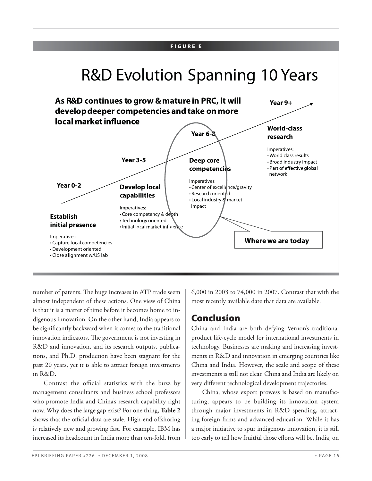#### **FIGURE E** R&D Evolution Spanning 10 Years **As R&D continues to grow & mature in PRC, it will Year 9+ develop deeper competencies and take on more**  local market influence **World-class Year 6-8 research** Imperatives: • World class results **Year 3-5 Deep core** • Broad industry impact • Part of effective global **competencies** network Imperatives: **Year 0-2 Develop local** • Center of excellence/gravity • Research oriented **capabilities** • Local industry & market impact Imperatives: • Core competency & depth **Establish** • Technology oriented **initial presence** · Initial local market influence Imperatives: **Where we are today** • Capture local competencies • Development oriented • Close alignment w/US lab

number of patents. The huge increases in ATP trade seem almost independent of these actions. One view of China is that it is a matter of time before it becomes home to indigenous innovation. On the other hand, India appears to be significantly backward when it comes to the traditional innovation indicators. The government is not investing in R&D and innovation, and its research outputs, publications, and Ph.D. production have been stagnant for the past 20 years, yet it is able to attract foreign investments in R&D.

Contrast the official statistics with the buzz by management consultants and business school professors who promote India and China's research capability right now. Why does the large gap exist? For one thing, **Table 2** shows that the official data are stale. High-end offshoring is relatively new and growing fast. For example, IBM has increased its headcount in India more than ten-fold, from

6,000 in 2003 to 74,000 in 2007. Contrast that with the most recently available date that data are available.

## **Conclusion**

China and India are both defying Vernon's traditional product life-cycle model for international investments in technology. Businesses are making and increasing investments in R&D and innovation in emerging countries like China and India. However, the scale and scope of these investments is still not clear. China and India are likely on very different technological development trajectories.

 China, whose export prowess is based on manufacturing, appears to be building its innovation system through major investments in R&D spending, attracting foreign firms and advanced education. While it has a major initiative to spur indigenous innovation, it is still too early to tell how fruitful those efforts will be. India, on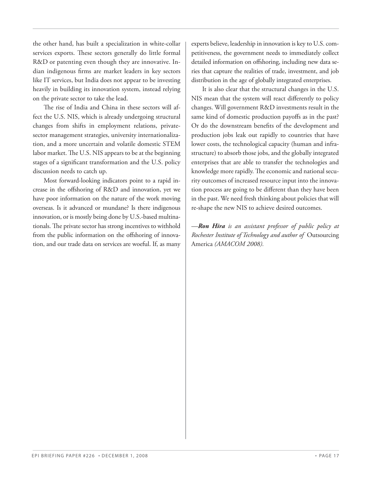the other hand, has built a specialization in white-collar services exports. These sectors generally do little formal R&D or patenting even though they are innovative. Indian indigenous firms are market leaders in key sectors like IT services, but India does not appear to be investing heavily in building its innovation system, instead relying on the private sector to take the lead.

The rise of India and China in these sectors will affect the U.S. NIS, which is already undergoing structural changes from shifts in employment relations, privatesector management strategies, university internationalization, and a more uncertain and volatile domestic STEM labor market. The U.S. NIS appears to be at the beginning stages of a significant transformation and the U.S. policy discussion needs to catch up.

 Most forward-looking indicators point to a rapid increase in the offshoring of R&D and innovation, yet we have poor information on the nature of the work moving overseas. Is it advanced or mundane? Is there indigenous innovation, or is mostly being done by U.S.-based multinationals. The private sector has strong incentives to withhold from the public information on the offshoring of innovation, and our trade data on services are woeful. If, as many experts believe, leadership in innovation is key to U.S. competitiveness, the government needs to immediately collect detailed information on offshoring, including new data series that capture the realities of trade, investment, and job distribution in the age of globally integrated enterprises.

 It is also clear that the structural changes in the U.S. NIS mean that the system will react differently to policy changes. Will government R&D investments result in the same kind of domestic production payoffs as in the past? Or do the downstream benefits of the development and production jobs leak out rapidly to countries that have lower costs, the technological capacity (human and infrastructure) to absorb those jobs, and the globally integrated enterprises that are able to transfer the technologies and knowledge more rapidly. The economic and national security outcomes of increased resource input into the innovation process are going to be different than they have been in the past. We need fresh thinking about policies that will re-shape the new NIS to achieve desired outcomes.

*—Ron Hira is an assistant professor of public policy at Rochester Institute of Technology and author of* Outsourcing America *(AMACOM 2008).*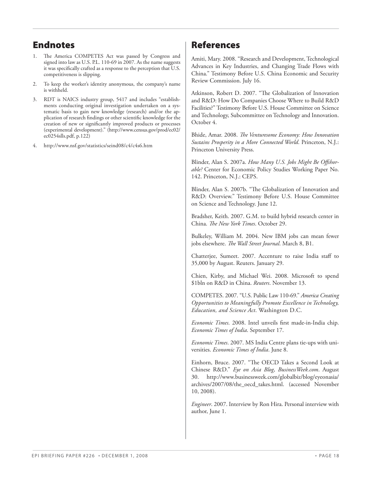## **Endnotes**

- The America COMPETES Act was passed by Congress and signed into law as U.S. P.L. 110-69 in 2007. As the name suggests it was specifically crafted as a response to the perception that U.S. competitiveness is slipping.
- 2. To keep the worker's identity anonymous, the company's name is withheld.
- 3. RDT is NAICS industry group, 5417 and includes "establishments conducting original investigation undertaken on a systematic basis to gain new knowledge (research) and/or the application of research findings or other scientific knowledge for the creation of new or significantly improved products or processes (experimental development)." (http://www.census.gov/prod/ec02/ ec0254slls.pdf, p.122)
- 4. http://www.nsf.gov/statistics/seind08/c4/c4s6.htm

## **References**

Amiti, Mary. 2008. "Research and Development, Technological Advances in Key Industries, and Changing Trade Flows with China." Testimony Before U.S. China Economic and Security Review Commission. July 16.

Atkinson, Robert D. 2007. "The Globalization of Innovation and R&D: How Do Companies Choose Where to Build R&D Facilities?" Testimony Before U.S. House Committee on Science and Technology, Subcommittee on Technology and Innovation. October 4.

Bhide, Amar. 2008. *The Venturesome Economy: How Innovation Sustains Prosperity in a More Connected World*. Princeton, N.J.: Princeton University Press.

Blinder, Alan S. 2007a. How Many U.S. Jobs Might Be Offshor*able?* Center for Economic Policy Studies Working Paper No. 142. Princeton, N.J.: CEPS.

Blinder, Alan S. 2007b. "The Globalization of Innovation and R&D: Overview." Testimony Before U.S. House Committee on Science and Technology. June 12.

Bradsher, Keith. 2007. G.M. to build hybrid research center in China. The New York Times. October 29.

Bulkeley, William M. 2004. New IBM jobs can mean fewer jobs elsewhere. *The Wall Street Journal*. March 8, B1.

Chatterjee, Sumeet. 2007. Accenture to raise India staff to 35,000 by August. Reuters. January 29.

Chien, Kirby, and Michael Wei. 2008. Microsoft to spend \$1bln on R&D in China. *Reuters*. November 13.

COMPETES. 2007. "U.S. Public Law 110-69." *America Creating Opportunities to Meaningfully Promote Excellence in Technology, Education, and Science Act*. Washington D.C.

*Economic Times.* 2008. Intel unveils first made-in-India chip. *Economic Times of India*. September 17.

*Economic Times*. 2007. MS India Centre plans tie-ups with universities. *Economic Times of India*. June 8.

Einhorn, Bruce. 2007. "The OECD Takes a Second Look at Chinese R&D." *Eye on Asia Blog*, *BusinessWeek.com*. August 30. http://www.businessweek.com/globalbiz/blog/eyeonasia/ archives/2007/08/the\_oecd\_takes.html. (accessed November 10, 2008).

*Engineer*. 2007. Interview by Ron Hira. Personal interview with author, June 1.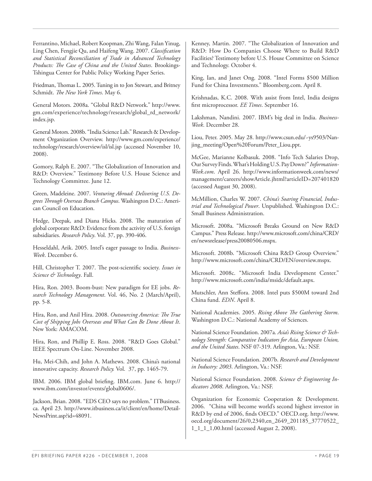Ferrantino, Michael, Robert Koopman, Zhi Wang, Falan Yinug, Ling Chen, Fengjie Qu, and Haifeng Wang. 2007. *Classification and Statistical Reconciliation of Trade in Advanced Technology Products: The Case of China and the United States. Brookings-*Tshingua Center for Public Policy Working Paper Series.

Friedman, Thomas L. 2005. Tuning in to Jon Stewart, and Britney Schmidt. *The New York Times*. May 6.

General Motors. 2008a. "Global R&D Network." http://www. gm.com/experience/technology/research/global\_rd\_network/ index.jsp.

General Motors. 2008b. "India Science Lab." Research & Development Organization Overview. http://www.gm.com/experience/ technology/research/overview/isl/isl.jsp (accessed November 10, 2008).

Gomory, Ralph E. 2007. "The Globalization of Innovation and R&D: Overview." Testimony Before U.S. House Science and Technology Committee. June 12.

Green, Madeleine. 2007. *Venturing Abroad: Delivering U.S. De*grees Through Overseas Branch Campus. Washington D.C.: American Council on Education.

Hedge, Deepak, and Diana Hicks. 2008. The maturation of global corporate R&D: Evidence from the activity of U.S. foreign subsidiaries. *Research Policy*. Vol. 37, pp. 390-406.

Hesseldahl, Arik. 2005. Intel's eager passage to India. *Business-Week*. December 6.

Hill, Christopher T. 2007. The post-scientific society. *Issues in Science & Technology*. Fall.

Hira, Ron. 2003. Boom-bust: New paradigm for EE jobs. *Research Technology Management*. Vol. 46, No. 2 (March/April), pp. 5-8.

Hira, Ron, and Anil Hira. 2008. Outsourcing America: The True *Cost of Shipping Jobs Overseas and What Can Be Done About It*. New York: AMACOM.

Hira, Ron, and Phillip E. Ross. 2008. "R&D Goes Global." IEEE Spectrum On-Line. November 2008.

Hu, Mei-Chih, and John A. Mathews. 2008. China's national innovative capacity. *Research Policy.* Vol. 37, pp. 1465-79.

IBM. 2006. IBM global briefing. IBM.com. June 6. http:// www.ibm.com/investor/events/global0606/.

Jackson, Brian. 2008. "EDS CEO says no problem." ITBusiness. ca. April 23. http://www.itbusiness.ca/it/client/en/home/Detail-NewsPrint.asp?id=48091.

Kenney, Martin. 2007. "The Globalization of Innovation and R&D: How Do Companies Choose Where to Build R&D Facilities? Testimony before U.S. House Committee on Science and Technology. October 4.

King, Ian, and Janet Ong. 2008. "Intel Forms \$500 Million Fund for China Investments." Bloomberg.com. April 8.

Krishnadas, K.C. 2008. With assist from Intel, India designs first microprocessor. *EE Times*. September 16.

Lakshman, Nandini. 2007. IBM's big deal in India. *Business-Week*. December 28.

Liou, Peter. 2005. May 28. http://www.csun.edu/~ys9503/Nanjing\_meeting/Open%20Forum/Peter\_Liou.ppt.

McGee, Marianne Kolbasuk. 2008. "Info Tech Salaries Drop, Our Survey Finds. What's Holding U.S. Pay Down?" *Information-Week.com*. April 26. http://www.informationweek.com/news/ management/careers/showArticle.jhtml?articleID=207401820 (accessed August 30, 2008).

McMillion, Charles W. 2007. *China's Soaring Financial, Industrial and Technological Power*. Unpublished. Washington D.C.: Small Business Administration.

Microsoft. 2008a. "Microsoft Breaks Ground on New R&D Campus." Press Release. http://www.microsoft.com/china/CRD/ en/newsrelease/press20080506.mspx.

Microsoft. 2008b. "Microsoft China R&D Group Overview." http://www.microsoft.com/china/CRD/EN/overview.mspx.

Microsoft. 2008c. "Microsoft India Development Center." http://www.microsoft.com/india/msidc/default.aspx.

Mutschler, Ann Steffora. 2008. Intel puts \$500M toward 2nd China fund. *EDN*. April 8.

National Academies. 2005. Rising Above The Gathering Storm. Washington D.C.: National Academy of Sciences.

National Science Foundation. 2007a. *Asia's Rising Science & Technology Strength: Comparative Indicators for Asia, European Union, and the United States*. NSF 07-319. Arlington, Va.: NSF.

National Science Foundation. 2007b. *Research and Development in Industry: 2003*. Arlington, Va.: NSF.

National Science Foundation. 2008. *Science & Engineering Indicators 2008*. Arlington, Va.: NSF.

Organization for Economic Cooperation & Development. 2006. "China will become world's second highest investor in R&D by end of 2006, finds OECD." OECD.org. http://www. oecd.org/document/26/0,2340,en\_2649\_201185\_37770522\_ 1\_1\_1\_1,00.html (accessed August 2, 2008).